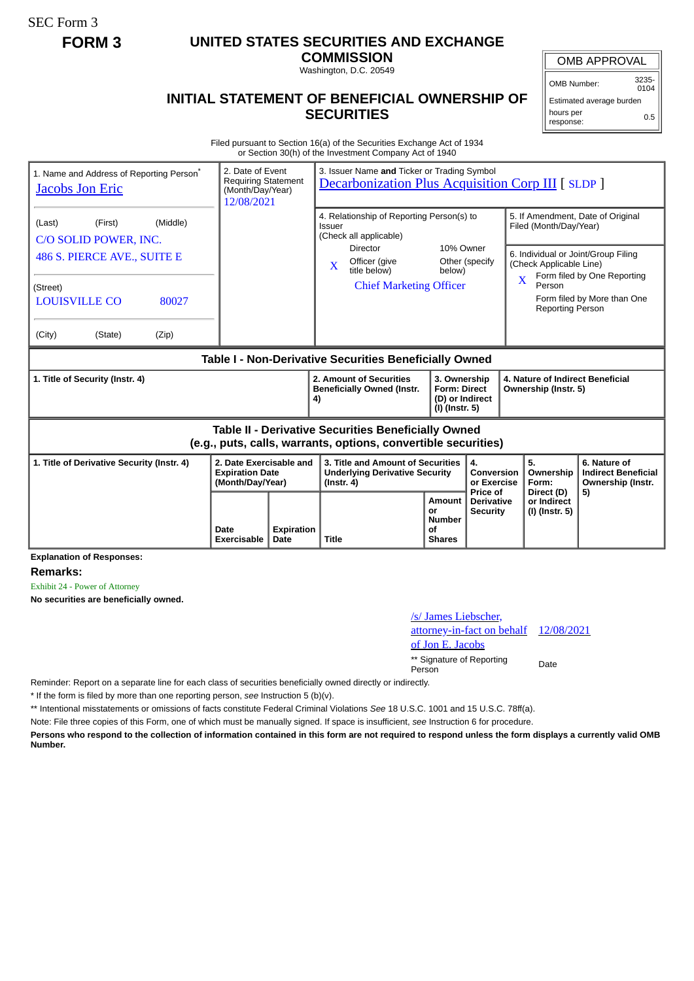SEC Form 3

## **FORM 3 UNITED STATES SECURITIES AND EXCHANGE**

**COMMISSION** Washington, D.C. 20549

OMB APPROVAL

OMB Number: 3235-  $0104$ 

Estimated average burden hours per response: 0.5

## **INITIAL STATEMENT OF BENEFICIAL OWNERSHIP OF SECURITIES**

Filed pursuant to Section 16(a) of the Securities Exchange Act of 1934 or Section 30(h) of the Investment Company Act of 1940

| 1. Name and Address of Reporting Person <sup>®</sup><br><b>Jacobs Jon Eric</b>                                               | 2. Date of Event<br><b>Requiring Statement</b><br>(Month/Day/Year)<br>12/08/2021 |                           | 3. Issuer Name and Ticker or Trading Symbol<br><b>Decarbonization Plus Acquisition Corp III [ SLDP ]</b> |                                                                            |                                                             |                                                                                                                                                                   |                                                                 |
|------------------------------------------------------------------------------------------------------------------------------|----------------------------------------------------------------------------------|---------------------------|----------------------------------------------------------------------------------------------------------|----------------------------------------------------------------------------|-------------------------------------------------------------|-------------------------------------------------------------------------------------------------------------------------------------------------------------------|-----------------------------------------------------------------|
| (Middle)<br>(First)<br>(Last)<br>C/O SOLID POWER, INC.                                                                       |                                                                                  |                           | 4. Relationship of Reporting Person(s) to<br>Issuer<br>(Check all applicable)                            |                                                                            | 5. If Amendment, Date of Original<br>Filed (Month/Day/Year) |                                                                                                                                                                   |                                                                 |
| 486 S. PIERCE AVE., SUITE E                                                                                                  |                                                                                  |                           | <b>Director</b><br>Officer (give<br>$\mathbf{x}$<br>title below)                                         | 10% Owner<br>below)                                                        | Other (specify                                              | 6. Individual or Joint/Group Filing<br>(Check Applicable Line)<br>Form filed by One Reporting<br>Person<br>Form filed by More than One<br><b>Reporting Person</b> |                                                                 |
| (Street)<br><b>LOUISVILLE CO</b><br>80027                                                                                    |                                                                                  |                           | <b>Chief Marketing Officer</b>                                                                           |                                                                            |                                                             |                                                                                                                                                                   |                                                                 |
| (City)<br>(State)<br>(Zip)                                                                                                   |                                                                                  |                           |                                                                                                          |                                                                            |                                                             |                                                                                                                                                                   |                                                                 |
| Table I - Non-Derivative Securities Beneficially Owned                                                                       |                                                                                  |                           |                                                                                                          |                                                                            |                                                             |                                                                                                                                                                   |                                                                 |
| 1. Title of Security (Instr. 4)                                                                                              |                                                                                  |                           | 2. Amount of Securities<br><b>Beneficially Owned (Instr.</b><br>4)                                       | 3. Ownership<br><b>Form: Direct</b><br>(D) or Indirect<br>$(I)$ (Instr. 5) |                                                             | 4. Nature of Indirect Beneficial<br>Ownership (Instr. 5)                                                                                                          |                                                                 |
| <b>Table II - Derivative Securities Beneficially Owned</b><br>(e.g., puts, calls, warrants, options, convertible securities) |                                                                                  |                           |                                                                                                          |                                                                            |                                                             |                                                                                                                                                                   |                                                                 |
| 1. Title of Derivative Security (Instr. 4)                                                                                   | 2. Date Exercisable and<br><b>Expiration Date</b><br>(Month/Day/Year)            |                           | 3. Title and Amount of Securities<br><b>Underlying Derivative Security</b><br>$($ Instr. 4 $)$           |                                                                            | 4.<br>Conversion<br>or Exercise                             | 5.<br>Ownership<br>Form:                                                                                                                                          | 6. Nature of<br><b>Indirect Beneficial</b><br>Ownership (Instr. |
|                                                                                                                              | Date<br>Exercisable                                                              | <b>Expiration</b><br>Date | <b>Title</b>                                                                                             | <b>Amount</b><br>or<br><b>Number</b><br>οf<br><b>Shares</b>                | Price of<br><b>Derivative</b><br><b>Security</b>            | Direct (D)<br>or Indirect<br>(I) (Instr. 5)                                                                                                                       | 5)                                                              |

**Explanation of Responses:**

**Remarks:**

Exhibit 24 - Power of Attorney

**No securities are beneficially owned.**

## /s/ James Liebscher, attorney-in-fact on behalf of Jon E. Jacobs 12/08/2021 \*\* Signature of Reporting Person Date

Reminder: Report on a separate line for each class of securities beneficially owned directly or indirectly.

\* If the form is filed by more than one reporting person, *see* Instruction 5 (b)(v).

\*\* Intentional misstatements or omissions of facts constitute Federal Criminal Violations *See* 18 U.S.C. 1001 and 15 U.S.C. 78ff(a).

Note: File three copies of this Form, one of which must be manually signed. If space is insufficient, *see* Instruction 6 for procedure.

**Persons who respond to the collection of information contained in this form are not required to respond unless the form displays a currently valid OMB Number.**